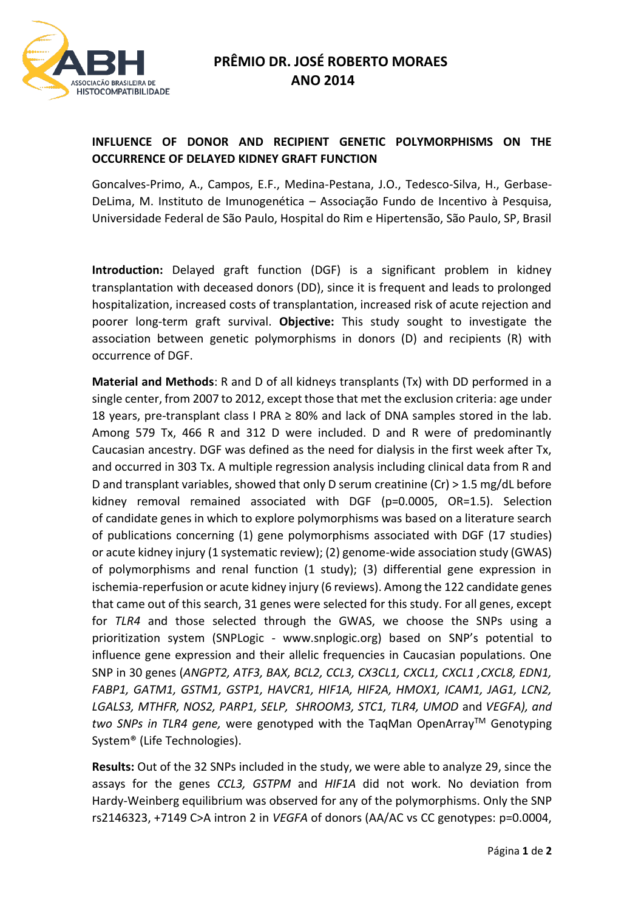

## **INFLUENCE OF DONOR AND RECIPIENT GENETIC POLYMORPHISMS ON THE OCCURRENCE OF DELAYED KIDNEY GRAFT FUNCTION**

Goncalves-Primo, A., Campos, E.F., Medina-Pestana, J.O., Tedesco-Silva, H., Gerbase-DeLima, M. Instituto de Imunogenética – Associação Fundo de Incentivo à Pesquisa, Universidade Federal de São Paulo, Hospital do Rim e Hipertensão, São Paulo, SP, Brasil

**Introduction:** Delayed graft function (DGF) is a significant problem in kidney transplantation with deceased donors (DD), since it is frequent and leads to prolonged hospitalization, increased costs of transplantation, increased risk of acute rejection and poorer long-term graft survival. **Objective:** This study sought to investigate the association between genetic polymorphisms in donors (D) and recipients (R) with occurrence of DGF.

**Material and Methods**: R and D of all kidneys transplants (Tx) with DD performed in a single center, from 2007 to 2012, except those that met the exclusion criteria: age under 18 years, pre-transplant class I PRA  $\geq$  80% and lack of DNA samples stored in the lab. Among 579 Tx, 466 R and 312 D were included. D and R were of predominantly Caucasian ancestry. DGF was defined as the need for dialysis in the first week after Tx, and occurred in 303 Tx. A multiple regression analysis including clinical data from R and D and transplant variables, showed that only D serum creatinine (Cr) > 1.5 mg/dL before kidney removal remained associated with DGF (p=0.0005, OR=1.5). Selection of candidate genes in which to explore polymorphisms was based on a literature search of publications concerning (1) gene polymorphisms associated with DGF (17 studies) or acute kidney injury (1 systematic review); (2) genome-wide association study (GWAS) of polymorphisms and renal function (1 study); (3) differential gene expression in ischemia-reperfusion or acute kidney injury (6 reviews). Among the 122 candidate genes that came out of this search, 31 genes were selected for this study. For all genes, except for *TLR4* and those selected through the GWAS, we choose the SNPs using a prioritization system (SNPLogic - www.snplogic.org) based on SNP's potential to influence gene expression and their allelic frequencies in Caucasian populations. One SNP in 30 genes (*ANGPT2, ATF3, BAX, BCL2, CCL3, CX3CL1, CXCL1, CXCL1 ,CXCL8, EDN1, FABP1, GATM1, GSTM1, GSTP1, HAVCR1, HIF1A, HIF2A, HMOX1, ICAM1, JAG1, LCN2,*  LGALS3, MTHFR, NOS2, PARP1, SELP, SHROOM3, STC1, TLR4, UMOD and *VEGFA*), and two SNPs in TLR4 gene, were genotyped with the TagMan OpenArray™ Genotyping System® (Life Technologies).

**Results:** Out of the 32 SNPs included in the study, we were able to analyze 29, since the assays for the genes *CCL3, GSTPM* and *HIF1A* did not work. No deviation from Hardy-Weinberg equilibrium was observed for any of the polymorphisms. Only the SNP rs2146323, +7149 C>A intron 2 in *VEGFA* of donors (AA/AC vs CC genotypes: p=0.0004,